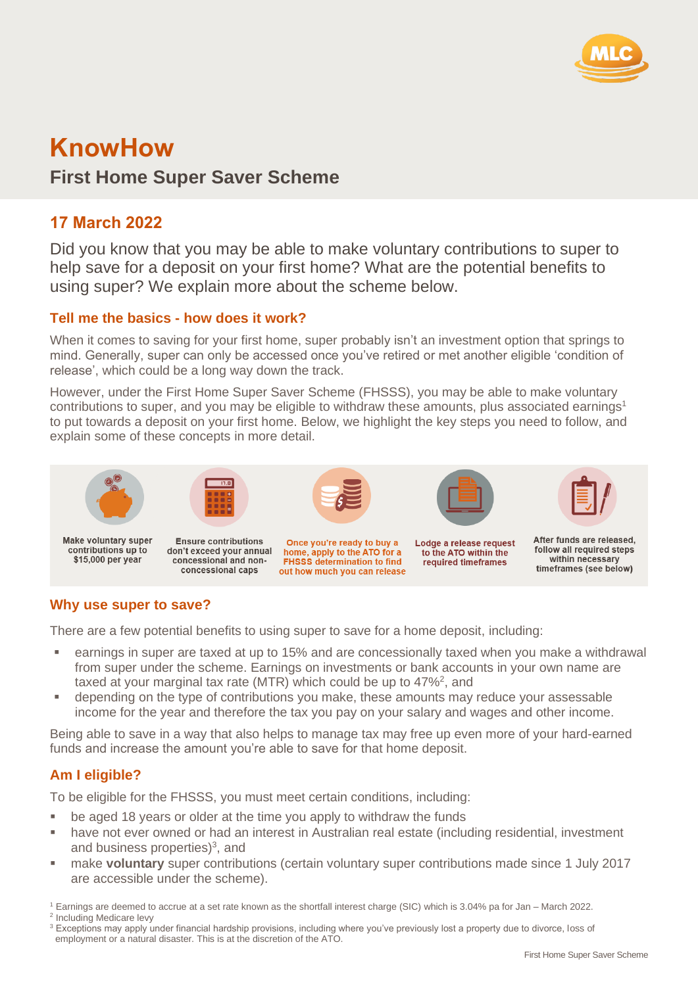

# **KnowHow**

# **First Home Super Saver Scheme**

## **17 March 2022**

Did you know that you may be able to make voluntary contributions to super to help save for a deposit on your first home? What are the potential benefits to using super? We explain more about the scheme below.

## **Tell me the basics - how does it work?**

When it comes to saving for your first home, super probably isn't an investment option that springs to mind. Generally, super can only be accessed once you've retired or met another eligible 'condition of release', which could be a long way down the track.

However, under the First Home Super Saver Scheme (FHSSS), you may be able to make voluntary contributions to super, and you may be eligible to withdraw these amounts, plus associated earnings<sup>1</sup> to put towards a deposit on your first home. Below, we highlight the key steps you need to follow, and explain some of these concepts in more detail.



## **Why use super to save?**

There are a few potential benefits to using super to save for a home deposit, including:

- earnings in super are taxed at up to 15% and are concessionally taxed when you make a withdrawal from super under the scheme. Earnings on investments or bank accounts in your own name are taxed at your marginal tax rate (MTR) which could be up to  $47\%^2$ , and
- depending on the type of contributions you make, these amounts may reduce your assessable income for the year and therefore the tax you pay on your salary and wages and other income.

Being able to save in a way that also helps to manage tax may free up even more of your hard-earned funds and increase the amount you're able to save for that home deposit.

## **Am I eligible?**

To be eligible for the FHSSS, you must meet certain conditions, including:

- be aged 18 years or older at the time you apply to withdraw the funds
- have not ever owned or had an interest in Australian real estate (including residential, investment and business properties)<sup>3</sup>, and
- make **voluntary** super contributions (certain voluntary super contributions made since 1 July 2017 are accessible under the scheme).
- <sup>1</sup> Earnings are deemed to accrue at a set rate known as the shortfall interest charge (SIC) which is 3.04% pa for Jan March 2022. <sup>2</sup> Including Medicare levy
- <sup>3</sup> Exceptions may apply under financial hardship provisions, including where you've previously lost a property due to divorce, loss of employment or a natural disaster. This is at the discretion of the ATO.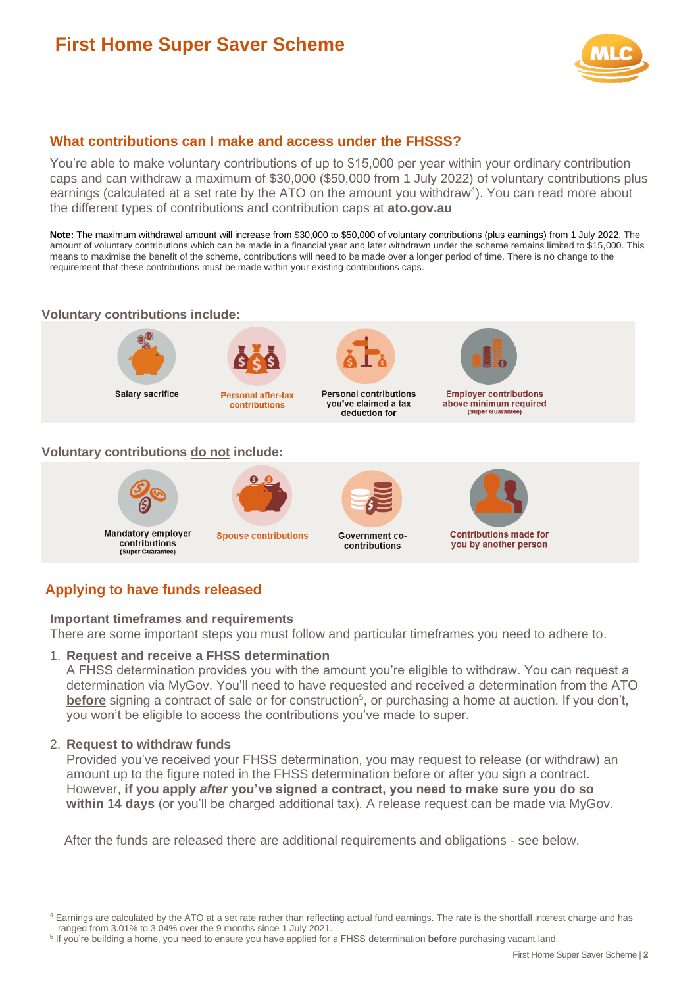# **First Home Super Saver Scheme**



## **What contributions can I make and access under the FHSSS?**

You're able to make voluntary contributions of up to \$15,000 per year within your ordinary contribution caps and can withdraw a maximum of \$30,000 (\$50,000 from 1 July 2022) of voluntary contributions plus earnings (calculated at a set rate by the ATO on the amount you withdraw<sup>4</sup>). You can read more about the different types of contributions and contribution caps at **ato.gov.au**

Note: The maximum withdrawal amount will increase from \$30,000 to \$50,000 of voluntary contributions (plus earnings) from 1 July 2022. The amount of voluntary contributions which can be made in a financial year and later withdrawn under the scheme remains limited to \$15,000. This means to maximise the benefit of the scheme, contributions will need to be made over a longer period of time. There is no change to the requirement that these contributions must be made within your existing contributions caps.

## **Voluntary contributions include:**



**Salary sacrifice** 



contributions



**Personal contributions** you've claimed a tax deduction for



**Employer contributions** above minimum required<br>(Super Guarantee)

#### **Voluntary contributions do not include:**



 $\boldsymbol{\Theta}$ 

**Spouse contributions** contributions



**Contributions made for** you by another person

## **Applying to have funds released**

#### **Important timeframes and requirements**

There are some important steps you must follow and particular timeframes you need to adhere to.

### 1. **Request and receive a FHSS determination**

A FHSS determination provides you with the amount you're eligible to withdraw. You can request a determination via MyGov. You'll need to have requested and received a determination from the ATO **before** signing a contract of sale or for construction<sup>5</sup>, or purchasing a home at auction. If you don't, you won't be eligible to access the contributions you've made to super.

#### 2. **Request to withdraw funds**

Provided you've received your FHSS determination, you may request to release (or withdraw) an amount up to the figure noted in the FHSS determination before or after you sign a contract. However, **if you apply** *after* **you've signed a contract, you need to make sure you do so within 14 days** (or you'll be charged additional tax). A release request can be made via MyGov.

After the funds are released there are additional requirements and obligations - see below.

<sup>4</sup> Earnings are calculated by the ATO at a set rate rather than reflecting actual fund earnings. The rate is the shortfall interest charge and has ranged from 3.01% to 3.04% over the 9 months since 1 July 2021.

<sup>5</sup> If you're building a home, you need to ensure you have applied for a FHSS determination **before** purchasing vacant land.